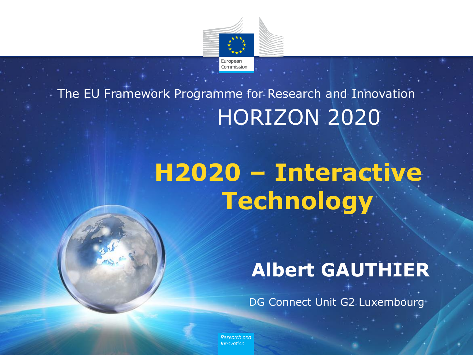

#### HORIZON 2020 The EU Framework Programme for Research and Innovation

# **H2020 – Interactive Technology**

#### **Albert GAUTHIER**

DG Connect Unit G2 Luxembourg

Research and Innovation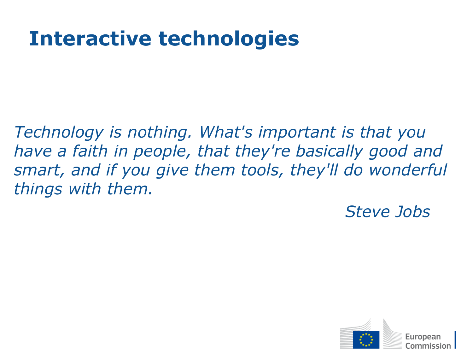### **Interactive technologies**

*Technology is nothing. What's important is that you have a faith in people, that they're basically good and smart, and if you give them tools, they'll do wonderful things with them.* 

*Steve Jobs*

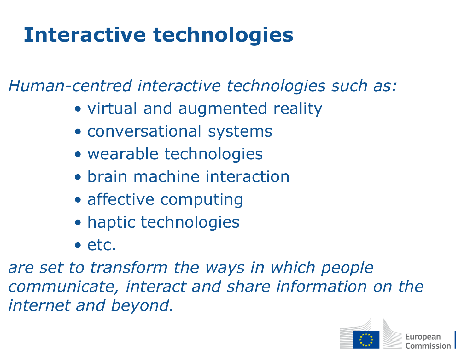## **Interactive technologies**

*Human-centred interactive technologies such as:*

- virtual and augmented reality
- conversational systems
- wearable technologies
- brain machine interaction
- affective computing
- haptic technologies
- etc.

*are set to transform the ways in which people communicate, interact and share information on the internet and beyond.*

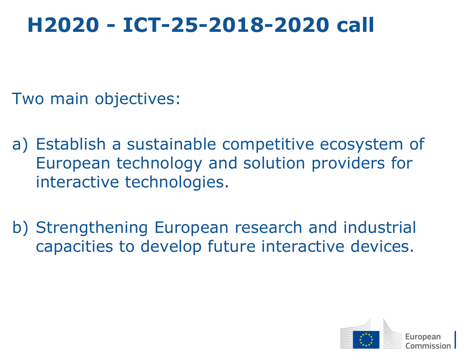### **H2020 - ICT-25-2018-2020 call**

Two main objectives:

- a) Establish a sustainable competitive ecosystem of European technology and solution providers for interactive technologies.
- b) Strengthening European research and industrial capacities to develop future interactive devices.

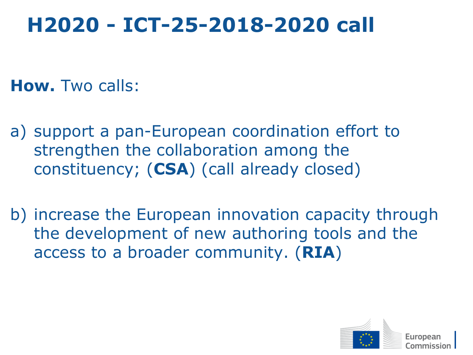### **H2020 - ICT-25-2018-2020 call**

**How.** Two calls:

- a) support a pan-European coordination effort to strengthen the collaboration among the constituency; (**CSA**) (call already closed)
- b) increase the European innovation capacity through the development of new authoring tools and the access to a broader community. (**RIA**)

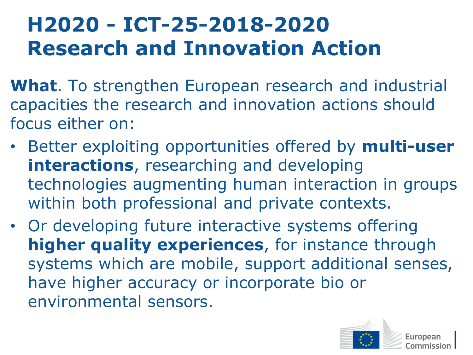## **H2020 - ICT-25-2018-2020 Research and Innovation Action**

- **What**. To strengthen European research and industrial capacities the research and innovation actions should focus either on:
- Better exploiting opportunities offered by **multi-user interactions**, researching and developing technologies augmenting human interaction in groups within both professional and private contexts.
- Or developing future interactive systems offering **higher quality experiences**, for instance through systems which are mobile, support additional senses, have higher accuracy or incorporate bio or environmental sensors.

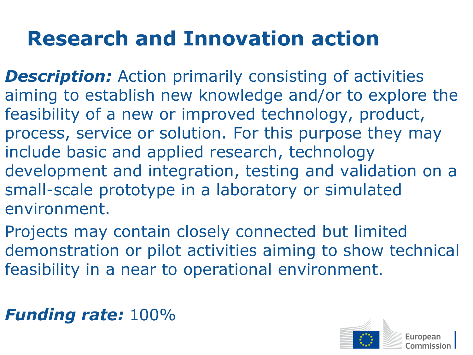## **Research and Innovation action**

- **Description:** Action primarily consisting of activities aiming to establish new knowledge and/or to explore the feasibility of a new or improved technology, product, process, service or solution. For this purpose they may include basic and applied research, technology development and integration, testing and validation on a small-scale prototype in a laboratory or simulated environment.
- Projects may contain closely connected but limited demonstration or pilot activities aiming to show technical feasibility in a near to operational environment.

#### *Funding rate:* 100%